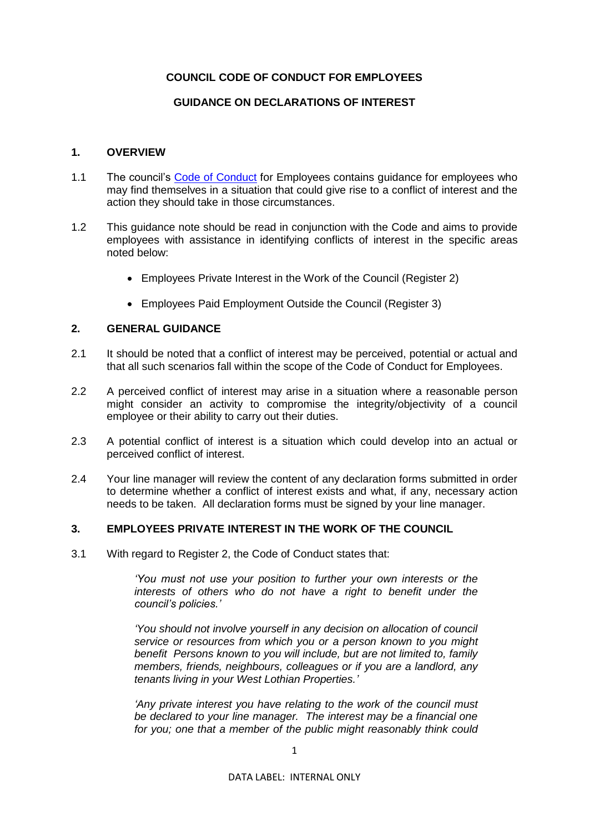## **COUNCIL CODE OF CONDUCT FOR EMPLOYEES**

### **GUIDANCE ON DECLARATIONS OF INTEREST**

#### **1. OVERVIEW**

- 1.1 The council's [Code of Conduct](https://www.westlothian.gov.uk/article/33213/Code-of-Conduct) for Employees contains guidance for employees who may find themselves in a situation that could give rise to a conflict of interest and the action they should take in those circumstances.
- 1.2 This guidance note should be read in conjunction with the Code and aims to provide employees with assistance in identifying conflicts of interest in the specific areas noted below:
	- Employees Private Interest in the Work of the Council (Register 2)
	- Employees Paid Employment Outside the Council (Register 3)

### **2. GENERAL GUIDANCE**

- 2.1 It should be noted that a conflict of interest may be perceived, potential or actual and that all such scenarios fall within the scope of the Code of Conduct for Employees.
- 2.2 A perceived conflict of interest may arise in a situation where a reasonable person might consider an activity to compromise the integrity/objectivity of a council employee or their ability to carry out their duties.
- 2.3 A potential conflict of interest is a situation which could develop into an actual or perceived conflict of interest.
- 2.4 Your line manager will review the content of any declaration forms submitted in order to determine whether a conflict of interest exists and what, if any, necessary action needs to be taken. All declaration forms must be signed by your line manager.

### **3. EMPLOYEES PRIVATE INTEREST IN THE WORK OF THE COUNCIL**

3.1 With regard to Register 2, the Code of Conduct states that:

*'You must not use your position to further your own interests or the interests of others who do not have a right to benefit under the council's policies.'* 

*'You should not involve yourself in any decision on allocation of council service or resources from which you or a person known to you might benefit Persons known to you will include, but are not limited to, family members, friends, neighbours, colleagues or if you are a landlord, any tenants living in your West Lothian Properties.'* 

*'Any private interest you have relating to the work of the council must be declared to your line manager. The interest may be a financial one for you; one that a member of the public might reasonably think could*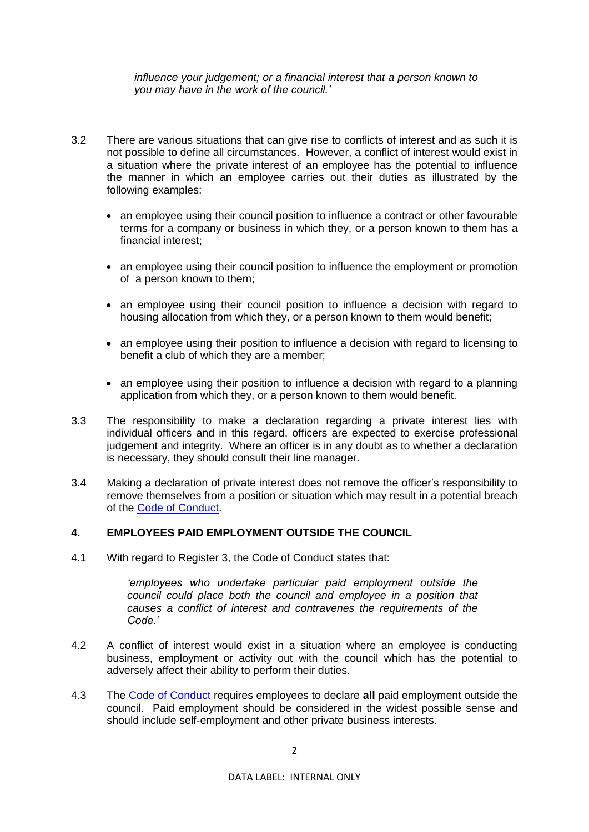#### *influence your judgement; or a financial interest that a person known to you may have in the work of the council.'*

- 3.2 There are various situations that can give rise to conflicts of interest and as such it is not possible to define all circumstances. However, a conflict of interest would exist in a situation where the private interest of an employee has the potential to influence the manner in which an employee carries out their duties as illustrated by the following examples:
	- an employee using their council position to influence a contract or other favourable terms for a company or business in which they, or a person known to them has a financial interest;
	- an employee using their council position to influence the employment or promotion of a person known to them;
	- an employee using their council position to influence a decision with regard to housing allocation from which they, or a person known to them would benefit;
	- an employee using their position to influence a decision with regard to licensing to benefit a club of which they are a member;
	- an employee using their position to influence a decision with regard to a planning application from which they, or a person known to them would benefit.
- 3.3 The responsibility to make a declaration regarding a private interest lies with individual officers and in this regard, officers are expected to exercise professional judgement and integrity. Where an officer is in any doubt as to whether a declaration is necessary, they should consult their line manager.
- 3.4 Making a declaration of private interest does not remove the officer's responsibility to remove themselves from a position or situation which may result in a potential breach of the [Code of Conduct.](https://www.westlothian.gov.uk/article/33213/Code-of-Conduct)

# **4. EMPLOYEES PAID EMPLOYMENT OUTSIDE THE COUNCIL**

4.1 With regard to Register 3, the Code of Conduct states that:

*'employees who undertake particular paid employment outside the council could place both the council and employee in a position that causes a conflict of interest and contravenes the requirements of the Code.'*

- 4.2 A conflict of interest would exist in a situation where an employee is conducting business, employment or activity out with the council which has the potential to adversely affect their ability to perform their duties.
- 4.3 The [Code of Conduct](https://www.westlothian.gov.uk/article/33213/Code-of-Conduct) requires employees to declare **all** paid employment outside the council. Paid employment should be considered in the widest possible sense and should include self-employment and other private business interests.